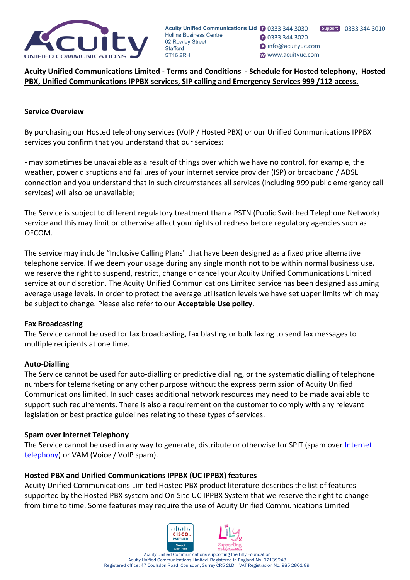

**Acuity Unified Communications Limited - Terms and Conditions - Schedule for Hosted telephony, Hosted PBX, Unified Communications IPPBX services, SIP calling and Emergency Services 999 /112 access.**

#### **Service Overview**

By purchasing our Hosted telephony services (VoIP / Hosted PBX) or our Unified Communications IPPBX services you confirm that you understand that our services:

- may sometimes be unavailable as a result of things over which we have no control, for example, the weather, power disruptions and failures of your internet service provider (ISP) or broadband / ADSL connection and you understand that in such circumstances all services (including 999 public emergency call services) will also be unavailable;

The Service is subject to different regulatory treatment than a PSTN (Public Switched Telephone Network) service and this may limit or otherwise affect your rights of redress before regulatory agencies such as OFCOM.

The service may include "Inclusive Calling Plans" that have been designed as a fixed price alternative telephone service. If we deem your usage during any single month not to be within normal business use, we reserve the right to suspend, restrict, change or cancel your Acuity Unified Communications Limited service at our discretion. The Acuity Unified Communications Limited service has been designed assuming average usage levels. In order to protect the average utilisation levels we have set upper limits which may be subject to change. Please also refer to our **Acceptable Use policy**.

#### **Fax Broadcasting**

The Service cannot be used for fax broadcasting, fax blasting or bulk faxing to send fax messages to multiple recipients at one time.

#### **Auto-Dialling**

The Service cannot be used for auto-dialling or predictive dialling, or the systematic dialling of telephone numbers for telemarketing or any other purpose without the express permission of Acuity Unified Communications limited. In such cases additional network resources may need to be made available to support such requirements. There is also a requirement on the customer to comply with any relevant legislation or best practice guidelines relating to these types of services.

#### **Spam over Internet Telephony**

The Service cannot be used in any way to generate, distribute or otherwise for SPIT (spam over [Internet](http://www.coms.com/internet-telephony-jargon.html#internettelephony)  [telephony\)](http://www.coms.com/internet-telephony-jargon.html#internettelephony) or VAM (Voice / VoIP spam).

#### **Hosted PBX and Unified Communications IPPBX (UC IPPBX) features**

Acuity Unified Communications Limited Hosted PBX product literature describes the list of features supported by the Hosted PBX system and On-Site UC IPPBX System that we reserve the right to change from time to time. Some features may require the use of Acuity Unified Communications Limited

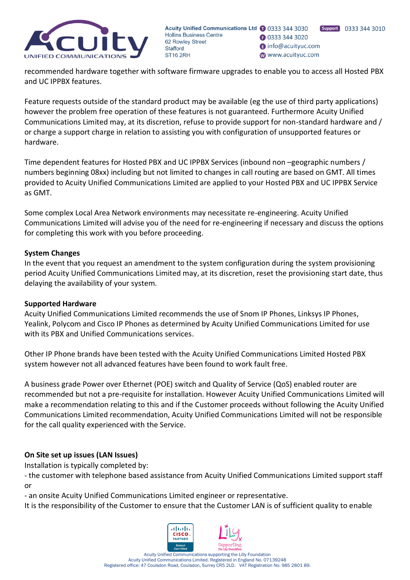

Support 0333 344 3010 **B** 0333 344 3020 nfo@acuityuc.com www.acuityuc.com

recommended hardware together with software firmware upgrades to enable you to access all Hosted PBX and UC IPPBX features.

Feature requests outside of the standard product may be available (eg the use of third party applications) however the problem free operation of these features is not guaranteed. Furthermore Acuity Unified Communications Limited may, at its discretion, refuse to provide support for non-standard hardware and / or charge a support charge in relation to assisting you with configuration of unsupported features or hardware.

Time dependent features for Hosted PBX and UC IPPBX Services (inbound non –geographic numbers / numbers beginning 08xx) including but not limited to changes in call routing are based on GMT. All times provided to Acuity Unified Communications Limited are applied to your Hosted PBX and UC IPPBX Service as GMT.

Some complex Local Area Network environments may necessitate re-engineering. Acuity Unified Communications Limited will advise you of the need for re-engineering if necessary and discuss the options for completing this work with you before proceeding.

# **System Changes**

In the event that you request an amendment to the system configuration during the system provisioning period Acuity Unified Communications Limited may, at its discretion, reset the provisioning start date, thus delaying the availability of your system.

### **Supported Hardware**

Acuity Unified Communications Limited recommends the use of Snom IP Phones, Linksys IP Phones, Yealink, Polycom and Cisco IP Phones as determined by Acuity Unified Communications Limited for use with its PBX and Unified Communications services.

Other IP Phone brands have been tested with the Acuity Unified Communications Limited Hosted PBX system however not all advanced features have been found to work fault free.

A business grade Power over Ethernet (POE) switch and Quality of Service (QoS) enabled router are recommended but not a pre-requisite for installation. However Acuity Unified Communications Limited will make a recommendation relating to this and if the Customer proceeds without following the Acuity Unified Communications Limited recommendation, Acuity Unified Communications Limited will not be responsible for the call quality experienced with the Service.

# **On Site set up issues (LAN Issues)**

Installation is typically completed by:

- the customer with telephone based assistance from Acuity Unified Communications Limited support staff or

- an onsite Acuity Unified Communications Limited engineer or representative.

It is the responsibility of the Customer to ensure that the Customer LAN is of sufficient quality to enable

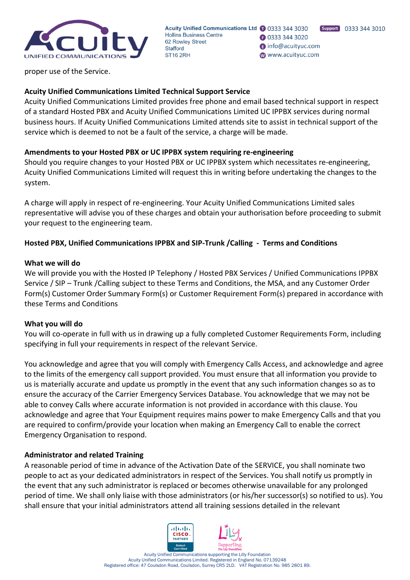

**B** 0333 344 3020 nfo@acuityuc.com www.acuityuc.com

proper use of the Service.

# **Acuity Unified Communications Limited Technical Support Service**

Acuity Unified Communications Limited provides free phone and email based technical support in respect of a standard Hosted PBX and Acuity Unified Communications Limited UC IPPBX services during normal business hours. If Acuity Unified Communications Limited attends site to assist in technical support of the service which is deemed to not be a fault of the service, a charge will be made.

### **Amendments to your Hosted PBX or UC IPPBX system requiring re-engineering**

Should you require changes to your Hosted PBX or UC IPPBX system which necessitates re-engineering, Acuity Unified Communications Limited will request this in writing before undertaking the changes to the system.

A charge will apply in respect of re-engineering. Your Acuity Unified Communications Limited sales representative will advise you of these charges and obtain your authorisation before proceeding to submit your request to the engineering team.

### **Hosted PBX, Unified Communications IPPBX and SIP-Trunk /Calling - Terms and Conditions**

#### **What we will do**

We will provide you with the Hosted IP Telephony / Hosted PBX Services / Unified Communications IPPBX Service / SIP – Trunk /Calling subject to these Terms and Conditions, the MSA, and any Customer Order Form(s) Customer Order Summary Form(s) or Customer Requirement Form(s) prepared in accordance with these Terms and Conditions

### **What you will do**

You will co-operate in full with us in drawing up a fully completed Customer Requirements Form, including specifying in full your requirements in respect of the relevant Service.

You acknowledge and agree that you will comply with Emergency Calls Access, and acknowledge and agree to the limits of the emergency call support provided. You must ensure that all information you provide to us is materially accurate and update us promptly in the event that any such information changes so as to ensure the accuracy of the Carrier Emergency Services Database. You acknowledge that we may not be able to convey Calls where accurate information is not provided in accordance with this clause. You acknowledge and agree that Your Equipment requires mains power to make Emergency Calls and that you are required to confirm/provide your location when making an Emergency Call to enable the correct Emergency Organisation to respond.

### **Administrator and related Training**

A reasonable period of time in advance of the Activation Date of the SERVICE, you shall nominate two people to act as your dedicated administrators in respect of the Services. You shall notify us promptly in the event that any such administrator is replaced or becomes otherwise unavailable for any prolonged period of time. We shall only liaise with those administrators (or his/her successor(s) so notified to us). You shall ensure that your initial administrators attend all training sessions detailed in the relevant

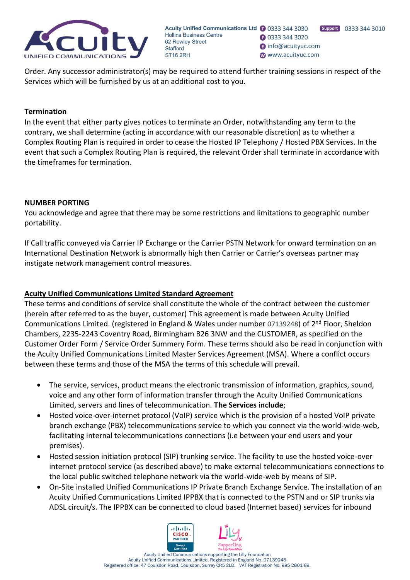

Acuity Unified Communications Ltd 1 0333 344 3030 **Hollins Business Centre B** 0333 344 3020 62 Rowley Street nfo@acuityuc.com **Stafford** www.acuityuc.com ST<sub>16</sub> 2RH

Order. Any successor administrator(s) may be required to attend further training sessions in respect of the Services which will be furnished by us at an additional cost to you.

#### **Termination**

In the event that either party gives notices to terminate an Order, notwithstanding any term to the contrary, we shall determine (acting in accordance with our reasonable discretion) as to whether a Complex Routing Plan is required in order to cease the Hosted IP Telephony / Hosted PBX Services. In the event that such a Complex Routing Plan is required, the relevant Order shall terminate in accordance with the timeframes for termination.

#### **NUMBER PORTING**

You acknowledge and agree that there may be some restrictions and limitations to geographic number portability.

If Call traffic conveyed via Carrier IP Exchange or the Carrier PSTN Network for onward termination on an International Destination Network is abnormally high then Carrier or Carrier's overseas partner may instigate network management control measures.

#### **Acuity Unified Communications Limited Standard Agreement**

These terms and conditions of service shall constitute the whole of the contract between the customer (herein after referred to as the buyer, customer) This agreement is made between Acuity Unified Communications Limited. (registered in England & Wales under number 07139248) of 2<sup>nd</sup> Floor, Sheldon Chambers, 2235-2243 Coventry Road, Birmingham B26 3NW and the CUSTOMER, as specified on the Customer Order Form / Service Order Summery Form. These terms should also be read in conjunction with the Acuity Unified Communications Limited Master Services Agreement (MSA). Where a conflict occurs between these terms and those of the MSA the terms of this schedule will prevail.

- The service, services, product means the electronic transmission of information, graphics, sound, voice and any other form of information transfer through the Acuity Unified Communications Limited, servers and lines of telecommunication. **The Services include**;
- Hosted voice-over-internet protocol (VoIP) service which is the provision of a hosted VoIP private branch exchange (PBX) telecommunications service to which you connect via the world-wide-web, facilitating internal telecommunications connections (i.e between your end users and your premises).
- Hosted session initiation protocol (SIP) trunking service. The facility to use the hosted voice-over internet protocol service (as described above) to make external telecommunications connections to the local public switched telephone network via the world-wide-web by means of SIP.
- On-Site installed Unified Communications IP Private Branch Exchange Service. The installation of an Acuity Unified Communications Limited IPPBX that is connected to the PSTN and or SIP trunks via ADSL circuit/s. The IPPBX can be connected to cloud based (Internet based) services for inbound

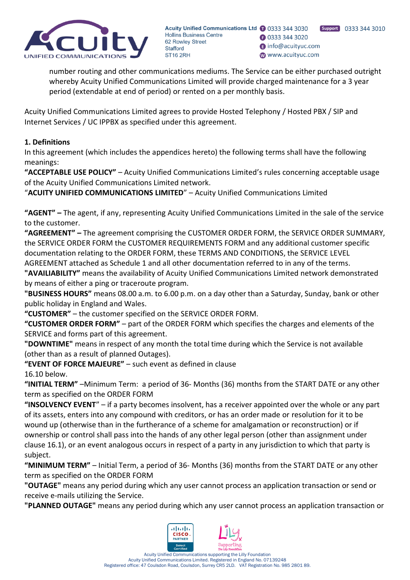

Support 0333 344 3010 **B** 0333 344 3020 nfo@acuityuc.com www.acuityuc.com

number routing and other communications mediums. The Service can be either purchased outright whereby Acuity Unified Communications Limited will provide charged maintenance for a 3 year period (extendable at end of period) or rented on a per monthly basis.

Acuity Unified Communications Limited agrees to provide Hosted Telephony / Hosted PBX / SIP and Internet Services / UC IPPBX as specified under this agreement.

# **1. Definitions**

In this agreement (which includes the appendices hereto) the following terms shall have the following meanings:

**"ACCEPTABLE USE POLICY"** – Acuity Unified Communications Limited's rules concerning acceptable usage of the Acuity Unified Communications Limited network.

"**ACUITY UNIFIED COMMUNICATIONS LIMITED**" – Acuity Unified Communications Limited

**"AGENT" –** The agent, if any, representing Acuity Unified Communications Limited in the sale of the service to the customer.

**"AGREEMENT" –** The agreement comprising the CUSTOMER ORDER FORM, the SERVICE ORDER SUMMARY, the SERVICE ORDER FORM the CUSTOMER REQUIREMENTS FORM and any additional customer specific documentation relating to the ORDER FORM, these TERMS AND CONDITIONS, the SERVICE LEVEL AGREEMENT attached as Schedule 1 and all other documentation referred to in any of the terms.

**"AVAILIABILITY"** means the availability of Acuity Unified Communications Limited network demonstrated by means of either a ping or traceroute program.

**"BUSINESS HOURS"** means 08.00 a.m. to 6.00 p.m. on a day other than a Saturday, Sunday, bank or other public holiday in England and Wales.

**"CUSTOMER"** – the customer specified on the SERVICE ORDER FORM.

**"CUSTOMER ORDER FORM"** – part of the ORDER FORM which specifies the charges and elements of the SERVICE and forms part of this agreement.

**"DOWNTIME"** means in respect of any month the total time during which the Service is not available (other than as a result of planned Outages).

**"EVENT OF FORCE MAJEURE"** – such event as defined in clause 16.10 below.

**"INITIAL TERM"** –Minimum Term: a period of 36- Months (36) months from the START DATE or any other term as specified on the ORDER FORM

**"INSOLVENCY EVENT**" – if a party becomes insolvent, has a receiver appointed over the whole or any part of its assets, enters into any compound with creditors, or has an order made or resolution for it to be wound up (otherwise than in the furtherance of a scheme for amalgamation or reconstruction) or if ownership or control shall pass into the hands of any other legal person (other than assignment under clause 16.1), or an event analogous occurs in respect of a party in any jurisdiction to which that party is subject.

**"MINIMUM TERM"** – Initial Term, a period of 36- Months (36) months from the START DATE or any other term as specified on the ORDER FORM

**"OUTAGE"** means any period during which any user cannot process an application transaction or send or receive e-mails utilizing the Service.

**"PLANNED OUTAGE"** means any period during which any user cannot process an application transaction or

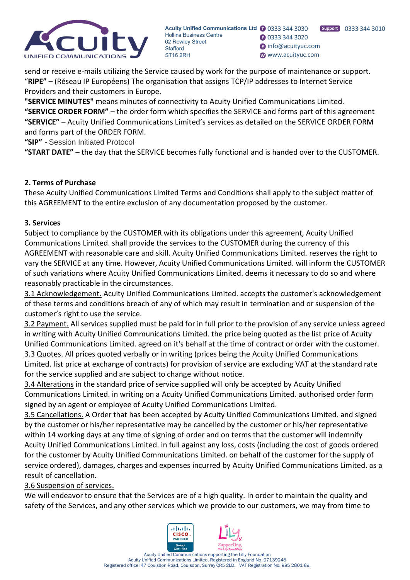

Support 0333 344 3010 **3** 0333 344 3020 nfo@acuityuc.com www.acuityuc.com

send or receive e-mails utilizing the Service caused by work for the purpose of maintenance or support. "**RIPE"** – (Réseau IP Européens) The organisation that assigns TCP/IP addresses to Internet Service Providers and their customers in Europe.

**"SERVICE MINUTES"** means minutes of connectivity to Acuity Unified Communications Limited. **"SERVICE ORDER FORM"** – the order form which specifies the SERVICE and forms part of this agreement **"SERVICE"** – Acuity Unified Communications Limited's services as detailed on the SERVICE ORDER FORM and forms part of the ORDER FORM.

**"SIP"** *-* Session Initiated Protocol

**"START DATE"** – the day that the SERVICE becomes fully functional and is handed over to the CUSTOMER.

# **2. Terms of Purchase**

These Acuity Unified Communications Limited Terms and Conditions shall apply to the subject matter of this AGREEMENT to the entire exclusion of any documentation proposed by the customer.

### **3. Services**

Subject to compliance by the CUSTOMER with its obligations under this agreement, Acuity Unified Communications Limited. shall provide the services to the CUSTOMER during the currency of this AGREEMENT with reasonable care and skill. Acuity Unified Communications Limited. reserves the right to vary the SERVICE at any time. However, Acuity Unified Communications Limited. will inform the CUSTOMER of such variations where Acuity Unified Communications Limited. deems it necessary to do so and where reasonably practicable in the circumstances.

3.1 Acknowledgement. Acuity Unified Communications Limited. accepts the customer's acknowledgement of these terms and conditions breach of any of which may result in termination and or suspension of the customer's right to use the service.

3.2 Payment. All services supplied must be paid for in full prior to the provision of any service unless agreed in writing with Acuity Unified Communications Limited. the price being quoted as the list price of Acuity Unified Communications Limited. agreed on it's behalf at the time of contract or order with the customer. 3.3 Quotes. All prices quoted verbally or in writing (prices being the Acuity Unified Communications Limited. list price at exchange of contracts) for provision of service are excluding VAT at the standard rate for the service supplied and are subject to change without notice.

3.4 Alterations in the standard price of service supplied will only be accepted by Acuity Unified Communications Limited. in writing on a Acuity Unified Communications Limited. authorised order form signed by an agent or employee of Acuity Unified Communications Limited.

3.5 Cancellations. A Order that has been accepted by Acuity Unified Communications Limited. and signed by the customer or his/her representative may be cancelled by the customer or his/her representative within 14 working days at any time of signing of order and on terms that the customer will indemnify Acuity Unified Communications Limited. in full against any loss, costs (including the cost of goods ordered for the customer by Acuity Unified Communications Limited. on behalf of the customer for the supply of service ordered), damages, charges and expenses incurred by Acuity Unified Communications Limited. as a result of cancellation.

3.6 Suspension of services.

We will endeavor to ensure that the Services are of a high quality. In order to maintain the quality and safety of the Services, and any other services which we provide to our customers, we may from time to

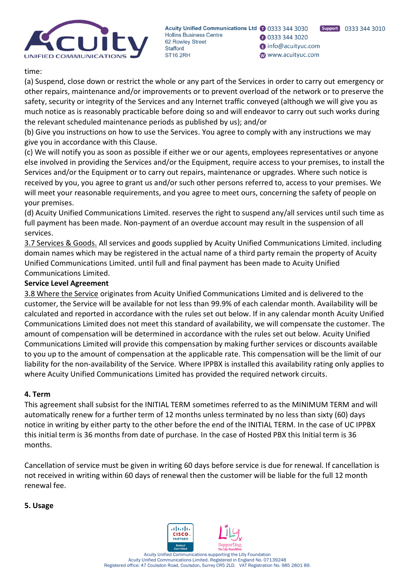

Support 0333 344 3010 **B** 0333 344 3020 nfo@acuityuc.com www.acuityuc.com

### time:

(a) Suspend, close down or restrict the whole or any part of the Services in order to carry out emergency or other repairs, maintenance and/or improvements or to prevent overload of the network or to preserve the safety, security or integrity of the Services and any Internet traffic conveyed (although we will give you as much notice as is reasonably practicable before doing so and will endeavor to carry out such works during the relevant scheduled maintenance periods as published by us); and/or

(b) Give you instructions on how to use the Services. You agree to comply with any instructions we may give you in accordance with this Clause.

(c) We will notify you as soon as possible if either we or our agents, employees representatives or anyone else involved in providing the Services and/or the Equipment, require access to your premises, to install the Services and/or the Equipment or to carry out repairs, maintenance or upgrades. Where such notice is received by you, you agree to grant us and/or such other persons referred to, access to your premises. We will meet your reasonable requirements, and you agree to meet ours, concerning the safety of people on your premises.

(d) Acuity Unified Communications Limited. reserves the right to suspend any/all services until such time as full payment has been made. Non-payment of an overdue account may result in the suspension of all services.

3.7 Services & Goods. All services and goods supplied by Acuity Unified Communications Limited. including domain names which may be registered in the actual name of a third party remain the property of Acuity Unified Communications Limited. until full and final payment has been made to Acuity Unified Communications Limited.

# **Service Level Agreement**

3.8 Where the Service originates from Acuity Unified Communications Limited and is delivered to the customer, the Service will be available for not less than 99.9% of each calendar month. Availability will be calculated and reported in accordance with the rules set out below. If in any calendar month Acuity Unified Communications Limited does not meet this standard of availability, we will compensate the customer. The amount of compensation will be determined in accordance with the rules set out below. Acuity Unified Communications Limited will provide this compensation by making further services or discounts available to you up to the amount of compensation at the applicable rate. This compensation will be the limit of our liability for the non-availability of the Service. Where IPPBX is installed this availability rating only applies to where Acuity Unified Communications Limited has provided the required network circuits.

### **4. Term**

This agreement shall subsist for the INITIAL TERM sometimes referred to as the MINIMUM TERM and will automatically renew for a further term of 12 months unless terminated by no less than sixty (60) days notice in writing by either party to the other before the end of the INITIAL TERM. In the case of UC IPPBX this initial term is 36 months from date of purchase. In the case of Hosted PBX this Initial term is 36 months.

Cancellation of service must be given in writing 60 days before service is due for renewal. If cancellation is not received in writing within 60 days of renewal then the customer will be liable for the full 12 month renewal fee.

### **5. Usage**

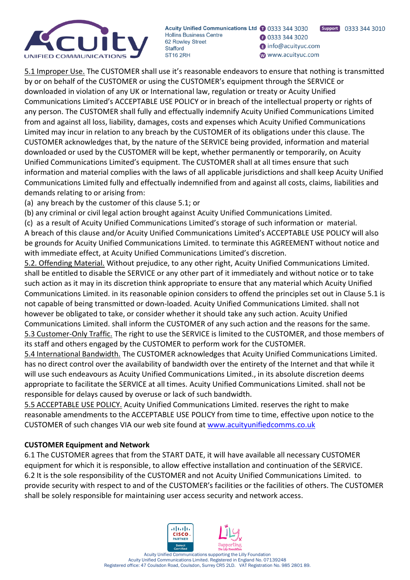

Support 0333 344 3010 **B** 0333 344 3020 nfo@acuityuc.com www.acuityuc.com

5.1 Improper Use. The CUSTOMER shall use it's reasonable endeavors to ensure that nothing is transmitted by or on behalf of the CUSTOMER or using the CUSTOMER's equipment through the SERVICE or downloaded in violation of any UK or International law, regulation or treaty or Acuity Unified Communications Limited's ACCEPTABLE USE POLICY or in breach of the intellectual property or rights of any person. The CUSTOMER shall fully and effectually indemnify Acuity Unified Communications Limited from and against all loss, liability, damages, costs and expenses which Acuity Unified Communications Limited may incur in relation to any breach by the CUSTOMER of its obligations under this clause. The CUSTOMER acknowledges that, by the nature of the SERVICE being provided, information and material downloaded or used by the CUSTOMER will be kept, whether permanently or temporarily, on Acuity Unified Communications Limited's equipment. The CUSTOMER shall at all times ensure that such information and material complies with the laws of all applicable jurisdictions and shall keep Acuity Unified Communications Limited fully and effectually indemnified from and against all costs, claims, liabilities and demands relating to or arising from:

(a) any breach by the customer of this clause 5.1; or

(b) any criminal or civil legal action brought against Acuity Unified Communications Limited.

(c) as a result of Acuity Unified Communications Limited's storage of such information or material. A breach of this clause and/or Acuity Unified Communications Limited's ACCEPTABLE USE POLICY will also be grounds for Acuity Unified Communications Limited. to terminate this AGREEMENT without notice and with immediate effect, at Acuity Unified Communications Limited's discretion.

5.2. Offending Material. Without prejudice, to any other right, Acuity Unified Communications Limited. shall be entitled to disable the SERVICE or any other part of it immediately and without notice or to take such action as it may in its discretion think appropriate to ensure that any material which Acuity Unified Communications Limited. in its reasonable opinion considers to offend the principles set out in Clause 5.1 is not capable of being transmitted or down-loaded. Acuity Unified Communications Limited. shall not however be obligated to take, or consider whether it should take any such action. Acuity Unified Communications Limited. shall inform the CUSTOMER of any such action and the reasons for the same. 5.3 Customer-Only Traffic. The right to use the SERVICE is limited to the CUSTOMER, and those members of its staff and others engaged by the CUSTOMER to perform work for the CUSTOMER.

5.4 International Bandwidth. The CUSTOMER acknowledges that Acuity Unified Communications Limited. has no direct control over the availability of bandwidth over the entirety of the Internet and that while it will use such endeavours as Acuity Unified Communications Limited., in its absolute discretion deems appropriate to facilitate the SERVICE at all times. Acuity Unified Communications Limited. shall not be responsible for delays caused by overuse or lack of such bandwidth.

5.5 ACCEPTABLE USE POLICY. Acuity Unified Communications Limited. reserves the right to make reasonable amendments to the ACCEPTABLE USE POLICY from time to time, effective upon notice to the CUSTOMER of such changes VIA our web site found at [www.acuityunifiedcomms.co.uk](http://www.lizard-it.com/)

# **CUSTOMER Equipment and Network**

6.1 The CUSTOMER agrees that from the START DATE, it will have available all necessary CUSTOMER equipment for which it is responsible, to allow effective installation and continuation of the SERVICE. 6.2 It is the sole responsibility of the CUSTOMER and not Acuity Unified Communications Limited. to provide security with respect to and of the CUSTOMER's facilities or the facilities of others. The CUSTOMER shall be solely responsible for maintaining user access security and network access.

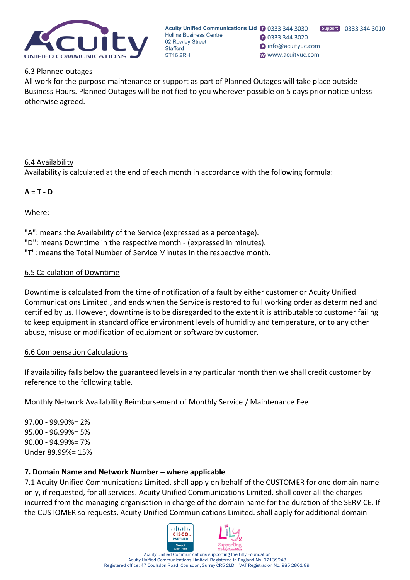

Acuity Unified Communications Ltd 1 0333 344 3030 **Hollins Business Centre B** 0333 344 3020 62 Rowley Street nfo@acuityuc.com **Stafford** www.acuityuc.com ST<sub>16</sub> 2RH

#### 6.3 Planned outages

All work for the purpose maintenance or support as part of Planned Outages will take place outside Business Hours. Planned Outages will be notified to you wherever possible on 5 days prior notice unless otherwise agreed.

#### 6.4 Availability

Availability is calculated at the end of each month in accordance with the following formula:

#### **A = T - D**

Where:

"A": means the Availability of the Service (expressed as a percentage). "D": means Downtime in the respective month - (expressed in minutes). "T": means the Total Number of Service Minutes in the respective month.

#### 6.5 Calculation of Downtime

Downtime is calculated from the time of notification of a fault by either customer or Acuity Unified Communications Limited., and ends when the Service is restored to full working order as determined and certified by us. However, downtime is to be disregarded to the extent it is attributable to customer failing to keep equipment in standard office environment levels of humidity and temperature, or to any other abuse, misuse or modification of equipment or software by customer.

#### 6.6 Compensation Calculations

If availability falls below the guaranteed levels in any particular month then we shall credit customer by reference to the following table.

Monthly Network Availability Reimbursement of Monthly Service / Maintenance Fee

97.00 - 99.90%= 2% 95.00 - 96.99%= 5% 90.00 - 94.99%= 7% Under 89.99%= 15%

#### **7. Domain Name and Network Number – where applicable**

7.1 Acuity Unified Communications Limited. shall apply on behalf of the CUSTOMER for one domain name only, if requested, for all services. Acuity Unified Communications Limited. shall cover all the charges incurred from the managing organisation in charge of the domain name for the duration of the SERVICE. If the CUSTOMER so requests, Acuity Unified Communications Limited. shall apply for additional domain

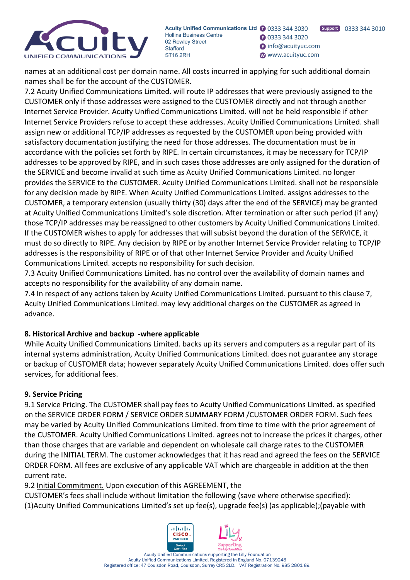

Support 0333 344 3010 **B** 0333 344 3020 nfo@acuityuc.com www.acuityuc.com

names at an additional cost per domain name. All costs incurred in applying for such additional domain names shall be for the account of the CUSTOMER.

7.2 Acuity Unified Communications Limited. will route IP addresses that were previously assigned to the CUSTOMER only if those addresses were assigned to the CUSTOMER directly and not through another Internet Service Provider. Acuity Unified Communications Limited. will not be held responsible if other Internet Service Providers refuse to accept these addresses. Acuity Unified Communications Limited. shall assign new or additional TCP/IP addresses as requested by the CUSTOMER upon being provided with satisfactory documentation justifying the need for those addresses. The documentation must be in accordance with the policies set forth by RIPE. In certain circumstances, it may be necessary for TCP/IP addresses to be approved by RIPE, and in such cases those addresses are only assigned for the duration of the SERVICE and become invalid at such time as Acuity Unified Communications Limited. no longer provides the SERVICE to the CUSTOMER. Acuity Unified Communications Limited. shall not be responsible for any decision made by RIPE. When Acuity Unified Communications Limited. assigns addresses to the CUSTOMER, a temporary extension (usually thirty (30) days after the end of the SERVICE) may be granted at Acuity Unified Communications Limited's sole discretion. After termination or after such period (if any) those TCP/IP addresses may be reassigned to other customers by Acuity Unified Communications Limited. If the CUSTOMER wishes to apply for addresses that will subsist beyond the duration of the SERVICE, it must do so directly to RIPE. Any decision by RIPE or by another Internet Service Provider relating to TCP/IP addresses is the responsibility of RIPE or of that other Internet Service Provider and Acuity Unified Communications Limited. accepts no responsibility for such decision.

7.3 Acuity Unified Communications Limited. has no control over the availability of domain names and accepts no responsibility for the availability of any domain name.

7.4 In respect of any actions taken by Acuity Unified Communications Limited. pursuant to this clause 7, Acuity Unified Communications Limited. may levy additional charges on the CUSTOMER as agreed in advance.

# **8. Historical Archive and backup -where applicable**

While Acuity Unified Communications Limited. backs up its servers and computers as a regular part of its internal systems administration, Acuity Unified Communications Limited. does not guarantee any storage or backup of CUSTOMER data; however separately Acuity Unified Communications Limited. does offer such services, for additional fees.

# **9. Service Pricing**

9.1 Service Pricing. The CUSTOMER shall pay fees to Acuity Unified Communications Limited. as specified on the SERVICE ORDER FORM / SERVICE ORDER SUMMARY FORM /CUSTOMER ORDER FORM. Such fees may be varied by Acuity Unified Communications Limited. from time to time with the prior agreement of the CUSTOMER. Acuity Unified Communications Limited. agrees not to increase the prices it charges, other than those charges that are variable and dependent on wholesale call charge rates to the CUSTOMER during the INITIAL TERM. The customer acknowledges that it has read and agreed the fees on the SERVICE ORDER FORM. All fees are exclusive of any applicable VAT which are chargeable in addition at the then current rate.

9.2 Initial Commitment. Upon execution of this AGREEMENT, the

CUSTOMER's fees shall include without limitation the following (save where otherwise specified): (1)Acuity Unified Communications Limited's set up fee(s), upgrade fee(s) (as applicable);(payable with

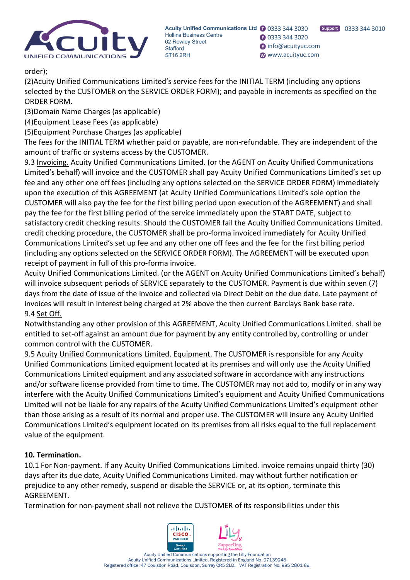

**B** 0333 344 3020 nfo@acuityuc.com www.acuityuc.com

Support 0333 344 3010

order);

(2)Acuity Unified Communications Limited's service fees for the INITIAL TERM (including any options selected by the CUSTOMER on the SERVICE ORDER FORM); and payable in increments as specified on the ORDER FORM.

(3)Domain Name Charges (as applicable)

(4)Equipment Lease Fees (as applicable)

(5)Equipment Purchase Charges (as applicable)

The fees for the INITIAL TERM whether paid or payable, are non-refundable. They are independent of the amount of traffic or systems access by the CUSTOMER.

9.3 Invoicing. Acuity Unified Communications Limited. (or the AGENT on Acuity Unified Communications Limited's behalf) will invoice and the CUSTOMER shall pay Acuity Unified Communications Limited's set up fee and any other one off fees (including any options selected on the SERVICE ORDER FORM) immediately upon the execution of this AGREEMENT (at Acuity Unified Communications Limited's sole option the CUSTOMER will also pay the fee for the first billing period upon execution of the AGREEMENT) and shall pay the fee for the first billing period of the service immediately upon the START DATE, subject to satisfactory credit checking results. Should the CUSTOMER fail the Acuity Unified Communications Limited. credit checking procedure, the CUSTOMER shall be pro-forma invoiced immediately for Acuity Unified Communications Limited's set up fee and any other one off fees and the fee for the first billing period (including any options selected on the SERVICE ORDER FORM). The AGREEMENT will be executed upon receipt of payment in full of this pro-forma invoice.

Acuity Unified Communications Limited. (or the AGENT on Acuity Unified Communications Limited's behalf) will invoice subsequent periods of SERVICE separately to the CUSTOMER. Payment is due within seven (7) days from the date of issue of the invoice and collected via Direct Debit on the due date. Late payment of invoices will result in interest being charged at 2% above the then current Barclays Bank base rate. 9.4 Set Off.

Notwithstanding any other provision of this AGREEMENT, Acuity Unified Communications Limited. shall be entitled to set-off against an amount due for payment by any entity controlled by, controlling or under common control with the CUSTOMER.

9.5 Acuity Unified Communications Limited. Equipment. The CUSTOMER is responsible for any Acuity Unified Communications Limited equipment located at its premises and will only use the Acuity Unified Communications Limited equipment and any associated software in accordance with any instructions and/or software license provided from time to time. The CUSTOMER may not add to, modify or in any way interfere with the Acuity Unified Communications Limited's equipment and Acuity Unified Communications Limited will not be liable for any repairs of the Acuity Unified Communications Limited's equipment other than those arising as a result of its normal and proper use. The CUSTOMER will insure any Acuity Unified Communications Limited's equipment located on its premises from all risks equal to the full replacement value of the equipment.

# **10. Termination.**

10.1 For Non-payment. If any Acuity Unified Communications Limited. invoice remains unpaid thirty (30) days after its due date, Acuity Unified Communications Limited. may without further notification or prejudice to any other remedy, suspend or disable the SERVICE or, at its option, terminate this AGREEMENT.

Termination for non-payment shall not relieve the CUSTOMER of its responsibilities under this

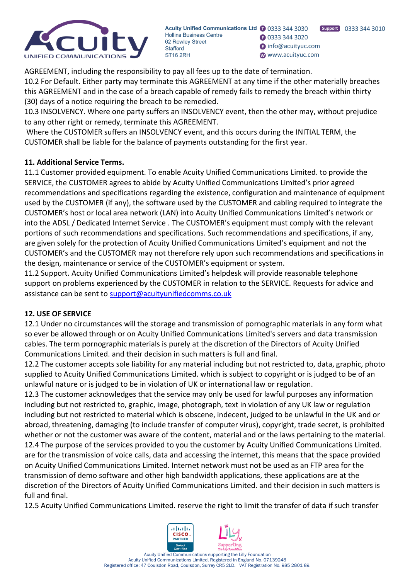

**3** 0333 344 3020 nfo@acuityuc.com www.acuityuc.com

AGREEMENT, including the responsibility to pay all fees up to the date of termination. 10.2 For Default. Either party may terminate this AGREEMENT at any time if the other materially breaches this AGREEMENT and in the case of a breach capable of remedy fails to remedy the breach within thirty (30) days of a notice requiring the breach to be remedied.

10.3 INSOLVENCY. Where one party suffers an INSOLVENCY event, then the other may, without prejudice to any other right or remedy, terminate this AGREEMENT.

Where the CUSTOMER suffers an INSOLVENCY event, and this occurs during the INITIAL TERM, the CUSTOMER shall be liable for the balance of payments outstanding for the first year.

# **11. Additional Service Terms.**

11.1 Customer provided equipment. To enable Acuity Unified Communications Limited. to provide the SERVICE, the CUSTOMER agrees to abide by Acuity Unified Communications Limited's prior agreed recommendations and specifications regarding the existence, configuration and maintenance of equipment used by the CUSTOMER (if any), the software used by the CUSTOMER and cabling required to integrate the CUSTOMER's host or local area network (LAN) into Acuity Unified Communications Limited's network or into the ADSL / Dedicated Internet Service . The CUSTOMER's equipment must comply with the relevant portions of such recommendations and specifications. Such recommendations and specifications, if any, are given solely for the protection of Acuity Unified Communications Limited's equipment and not the CUSTOMER's and the CUSTOMER may not therefore rely upon such recommendations and specifications in the design, maintenance or service of the CUSTOMER's equipment or system.

11.2 Support. Acuity Unified Communications Limited's helpdesk will provide reasonable telephone support on problems experienced by the CUSTOMER in relation to the SERVICE. Requests for advice and assistance can be sent to [support@acuityunifiedcomms.co.uk](mailto:support@acuityunifiedcomms.co.uk)

# **12. USE OF SERVICE**

12.1 Under no circumstances will the storage and transmission of pornographic materials in any form what so ever be allowed through or on Acuity Unified Communications Limited's servers and data transmission cables. The term pornographic materials is purely at the discretion of the Directors of Acuity Unified Communications Limited. and their decision in such matters is full and final.

12.2 The customer accepts sole liability for any material including but not restricted to, data, graphic, photo supplied to Acuity Unified Communications Limited. which is subject to copyright or is judged to be of an unlawful nature or is judged to be in violation of UK or international law or regulation.

12.3 The customer acknowledges that the service may only be used for lawful purposes any information including but not restricted to, graphic, image, photograph, text in violation of any UK law or regulation including but not restricted to material which is obscene, indecent, judged to be unlawful in the UK and or abroad, threatening, damaging (to include transfer of computer virus), copyright, trade secret, is prohibited whether or not the customer was aware of the content, material and or the laws pertaining to the material. 12.4 The purpose of the services provided to you the customer by Acuity Unified Communications Limited. are for the transmission of voice calls, data and accessing the internet, this means that the space provided on Acuity Unified Communications Limited. Internet network must not be used as an FTP area for the transmission of demo software and other high bandwidth applications, these applications are at the discretion of the Directors of Acuity Unified Communications Limited. and their decision in such matters is full and final.

12.5 Acuity Unified Communications Limited. reserve the right to limit the transfer of data if such transfer

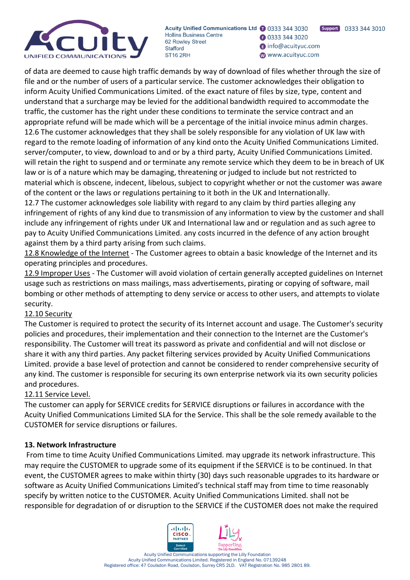

**B** 0333 344 3020 nfo@acuityuc.com www.acuityuc.com

of data are deemed to cause high traffic demands by way of download of files whether through the size of file and or the number of users of a particular service. The customer acknowledges their obligation to inform Acuity Unified Communications Limited. of the exact nature of files by size, type, content and understand that a surcharge may be levied for the additional bandwidth required to accommodate the traffic, the customer has the right under these conditions to terminate the service contract and an appropriate refund will be made which will be a percentage of the initial invoice minus admin charges. 12.6 The customer acknowledges that they shall be solely responsible for any violation of UK law with regard to the remote loading of information of any kind onto the Acuity Unified Communications Limited. server/computer, to view, download to and or by a third party, Acuity Unified Communications Limited. will retain the right to suspend and or terminate any remote service which they deem to be in breach of UK law or is of a nature which may be damaging, threatening or judged to include but not restricted to material which is obscene, indecent, libelous, subject to copyright whether or not the customer was aware of the content or the laws or regulations pertaining to it both in the UK and Internationally.

12.7 The customer acknowledges sole liability with regard to any claim by third parties alleging any infringement of rights of any kind due to transmission of any information to view by the customer and shall include any infringement of rights under UK and International law and or regulation and as such agree to pay to Acuity Unified Communications Limited. any costs incurred in the defence of any action brought against them by a third party arising from such claims.

12.8 Knowledge of the Internet - The Customer agrees to obtain a basic knowledge of the Internet and its operating principles and procedures.

12.9 Improper Uses - The Customer will avoid violation of certain generally accepted guidelines on Internet usage such as restrictions on mass mailings, mass advertisements, pirating or copying of software, mail bombing or other methods of attempting to deny service or access to other users, and attempts to violate security.

# 12.10 Security

The Customer is required to protect the security of its Internet account and usage. The Customer's security policies and procedures, their implementation and their connection to the Internet are the Customer's responsibility. The Customer will treat its password as private and confidential and will not disclose or share it with any third parties. Any packet filtering services provided by Acuity Unified Communications Limited. provide a base level of protection and cannot be considered to render comprehensive security of any kind. The customer is responsible for securing its own enterprise network via its own security policies and procedures.

# 12.11 Service Level.

The customer can apply for SERVICE credits for SERVICE disruptions or failures in accordance with the Acuity Unified Communications Limited SLA for the Service. This shall be the sole remedy available to the CUSTOMER for service disruptions or failures.

# **13. Network Infrastructure**

From time to time Acuity Unified Communications Limited. may upgrade its network infrastructure. This may require the CUSTOMER to upgrade some of its equipment if the SERVICE is to be continued. In that event, the CUSTOMER agrees to make within thirty (30) days such reasonable upgrades to its hardware or software as Acuity Unified Communications Limited's technical staff may from time to time reasonably specify by written notice to the CUSTOMER. Acuity Unified Communications Limited. shall not be responsible for degradation of or disruption to the SERVICE if the CUSTOMER does not make the required

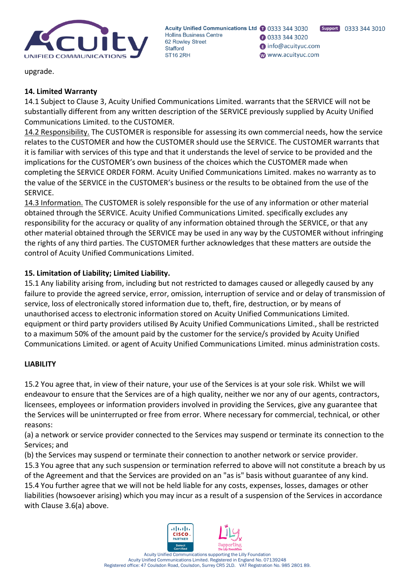

**3** 0333 344 3020 nfo@acuityuc.com www.acuityuc.com

upgrade.

# **14. Limited Warranty**

14.1 Subject to Clause 3, Acuity Unified Communications Limited. warrants that the SERVICE will not be substantially different from any written description of the SERVICE previously supplied by Acuity Unified Communications Limited. to the CUSTOMER.

14.2 Responsibility. The CUSTOMER is responsible for assessing its own commercial needs, how the service relates to the CUSTOMER and how the CUSTOMER should use the SERVICE. The CUSTOMER warrants that it is familiar with services of this type and that it understands the level of service to be provided and the implications for the CUSTOMER's own business of the choices which the CUSTOMER made when completing the SERVICE ORDER FORM. Acuity Unified Communications Limited. makes no warranty as to the value of the SERVICE in the CUSTOMER's business or the results to be obtained from the use of the SERVICE.

14.3 Information. The CUSTOMER is solely responsible for the use of any information or other material obtained through the SERVICE. Acuity Unified Communications Limited. specifically excludes any responsibility for the accuracy or quality of any information obtained through the SERVICE, or that any other material obtained through the SERVICE may be used in any way by the CUSTOMER without infringing the rights of any third parties. The CUSTOMER further acknowledges that these matters are outside the control of Acuity Unified Communications Limited.

# **15. Limitation of Liability; Limited Liability.**

15.1 Any liability arising from, including but not restricted to damages caused or allegedly caused by any failure to provide the agreed service, error, omission, interruption of service and or delay of transmission of service, loss of electronically stored information due to, theft, fire, destruction, or by means of unauthorised access to electronic information stored on Acuity Unified Communications Limited. equipment or third party providers utilised By Acuity Unified Communications Limited., shall be restricted to a maximum 50% of the amount paid by the customer for the service/s provided by Acuity Unified Communications Limited. or agent of Acuity Unified Communications Limited. minus administration costs.

# **LIABILITY**

15.2 You agree that, in view of their nature, your use of the Services is at your sole risk. Whilst we will endeavour to ensure that the Services are of a high quality, neither we nor any of our agents, contractors, licensees, employees or information providers involved in providing the Services, give any guarantee that the Services will be uninterrupted or free from error. Where necessary for commercial, technical, or other reasons:

(a) a network or service provider connected to the Services may suspend or terminate its connection to the Services; and

(b) the Services may suspend or terminate their connection to another network or service provider. 15.3 You agree that any such suspension or termination referred to above will not constitute a breach by us of the Agreement and that the Services are provided on an "as is" basis without guarantee of any kind. 15.4 You further agree that we will not be held liable for any costs, expenses, losses, damages or other liabilities (howsoever arising) which you may incur as a result of a suspension of the Services in accordance with Clause 3.6(a) above.

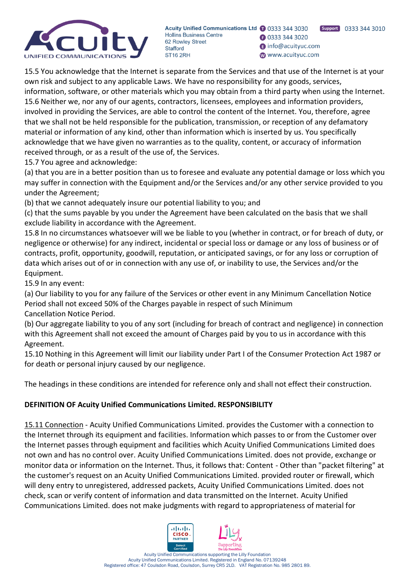

Support 0333 344 3010 **3** 0333 344 3020 nfo@acuityuc.com www.acuityuc.com

15.5 You acknowledge that the Internet is separate from the Services and that use of the Internet is at your own risk and subject to any applicable Laws. We have no responsibility for any goods, services, information, software, or other materials which you may obtain from a third party when using the Internet. 15.6 Neither we, nor any of our agents, contractors, licensees, employees and information providers, involved in providing the Services, are able to control the content of the Internet. You, therefore, agree that we shall not be held responsible for the publication, transmission, or reception of any defamatory material or information of any kind, other than information which is inserted by us. You specifically acknowledge that we have given no warranties as to the quality, content, or accuracy of information received through, or as a result of the use of, the Services.

15.7 You agree and acknowledge:

(a) that you are in a better position than us to foresee and evaluate any potential damage or loss which you may suffer in connection with the Equipment and/or the Services and/or any other service provided to you under the Agreement;

(b) that we cannot adequately insure our potential liability to you; and

(c) that the sums payable by you under the Agreement have been calculated on the basis that we shall exclude liability in accordance with the Agreement.

15.8 In no circumstances whatsoever will we be liable to you (whether in contract, or for breach of duty, or negligence or otherwise) for any indirect, incidental or special loss or damage or any loss of business or of contracts, profit, opportunity, goodwill, reputation, or anticipated savings, or for any loss or corruption of data which arises out of or in connection with any use of, or inability to use, the Services and/or the Equipment.

15.9 In any event:

(a) Our liability to you for any failure of the Services or other event in any Minimum Cancellation Notice Period shall not exceed 50% of the Charges payable in respect of such Minimum Cancellation Notice Period.

(b) Our aggregate liability to you of any sort (including for breach of contract and negligence) in connection with this Agreement shall not exceed the amount of Charges paid by you to us in accordance with this Agreement.

15.10 Nothing in this Agreement will limit our liability under Part I of the Consumer Protection Act 1987 or for death or personal injury caused by our negligence.

The headings in these conditions are intended for reference only and shall not effect their construction.

# **DEFINITION OF Acuity Unified Communications Limited. RESPONSIBILITY**

15.11 Connection - Acuity Unified Communications Limited. provides the Customer with a connection to the Internet through its equipment and facilities. Information which passes to or from the Customer over the Internet passes through equipment and facilities which Acuity Unified Communications Limited does not own and has no control over. Acuity Unified Communications Limited. does not provide, exchange or monitor data or information on the Internet. Thus, it follows that: Content - Other than "packet filtering" at the customer's request on an Acuity Unified Communications Limited. provided router or firewall, which will deny entry to unregistered, addressed packets, Acuity Unified Communications Limited. does not check, scan or verify content of information and data transmitted on the Internet. Acuity Unified Communications Limited. does not make judgments with regard to appropriateness of material for

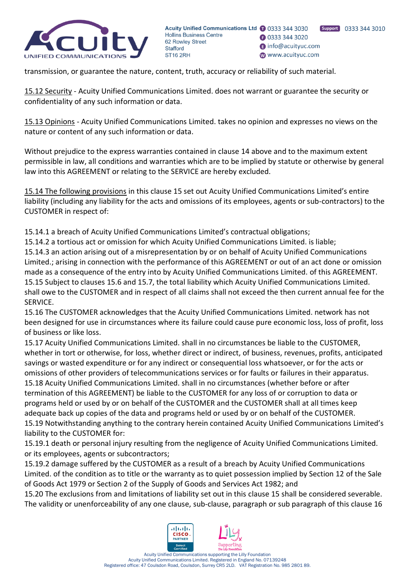

transmission, or guarantee the nature, content, truth, accuracy or reliability of such material.

15.12 Security - Acuity Unified Communications Limited. does not warrant or guarantee the security or confidentiality of any such information or data.

15.13 Opinions - Acuity Unified Communications Limited. takes no opinion and expresses no views on the nature or content of any such information or data.

Without prejudice to the express warranties contained in clause 14 above and to the maximum extent permissible in law, all conditions and warranties which are to be implied by statute or otherwise by general law into this AGREEMENT or relating to the SERVICE are hereby excluded.

15.14 The following provisions in this clause 15 set out Acuity Unified Communications Limited's entire liability (including any liability for the acts and omissions of its employees, agents or sub-contractors) to the CUSTOMER in respect of:

15.14.1 a breach of Acuity Unified Communications Limited's contractual obligations;

15.14.2 a tortious act or omission for which Acuity Unified Communications Limited. is liable;

15.14.3 an action arising out of a misrepresentation by or on behalf of Acuity Unified Communications Limited.; arising in connection with the performance of this AGREEMENT or out of an act done or omission made as a consequence of the entry into by Acuity Unified Communications Limited. of this AGREEMENT. 15.15 Subject to clauses 15.6 and 15.7, the total liability which Acuity Unified Communications Limited. shall owe to the CUSTOMER and in respect of all claims shall not exceed the then current annual fee for the SERVICE.

15.16 The CUSTOMER acknowledges that the Acuity Unified Communications Limited. network has not been designed for use in circumstances where its failure could cause pure economic loss, loss of profit, loss of business or like loss.

15.17 Acuity Unified Communications Limited. shall in no circumstances be liable to the CUSTOMER, whether in tort or otherwise, for loss, whether direct or indirect, of business, revenues, profits, anticipated savings or wasted expenditure or for any indirect or consequential loss whatsoever, or for the acts or omissions of other providers of telecommunications services or for faults or failures in their apparatus. 15.18 Acuity Unified Communications Limited. shall in no circumstances (whether before or after termination of this AGREEMENT) be liable to the CUSTOMER for any loss of or corruption to data or programs held or used by or on behalf of the CUSTOMER and the CUSTOMER shall at all times keep adequate back up copies of the data and programs held or used by or on behalf of the CUSTOMER. 15.19 Notwithstanding anything to the contrary herein contained Acuity Unified Communications Limited's liability to the CUSTOMER for:

15.19.1 death or personal injury resulting from the negligence of Acuity Unified Communications Limited. or its employees, agents or subcontractors;

15.19.2 damage suffered by the CUSTOMER as a result of a breach by Acuity Unified Communications Limited. of the condition as to title or the warranty as to quiet possession implied by Section 12 of the Sale of Goods Act 1979 or Section 2 of the Supply of Goods and Services Act 1982; and

15.20 The exclusions from and limitations of liability set out in this clause 15 shall be considered severable. The validity or unenforceability of any one clause, sub-clause, paragraph or sub paragraph of this clause 16

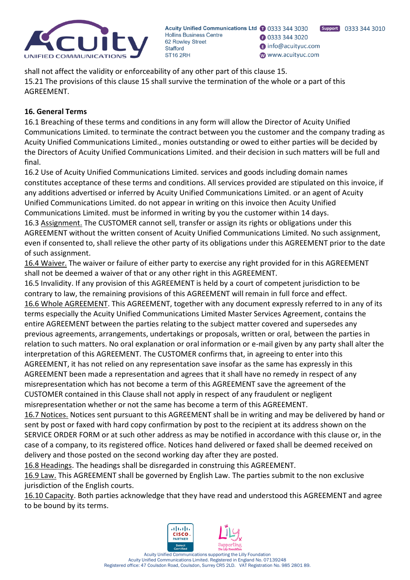

Support 0333 344 3010 **B** 0333 344 3020 nfo@acuityuc.com www.acuityuc.com

# **16. General Terms**

16.1 Breaching of these terms and conditions in any form will allow the Director of Acuity Unified Communications Limited. to terminate the contract between you the customer and the company trading as Acuity Unified Communications Limited., monies outstanding or owed to either parties will be decided by the Directors of Acuity Unified Communications Limited. and their decision in such matters will be full and final.

16.2 Use of Acuity Unified Communications Limited. services and goods including domain names constitutes acceptance of these terms and conditions. All services provided are stipulated on this invoice, if any additions advertised or inferred by Acuity Unified Communications Limited. or an agent of Acuity Unified Communications Limited. do not appear in writing on this invoice then Acuity Unified Communications Limited. must be informed in writing by you the customer within 14 days.

16.3 Assignment. The CUSTOMER cannot sell, transfer or assign its rights or obligations under this AGREEMENT without the written consent of Acuity Unified Communications Limited. No such assignment, even if consented to, shall relieve the other party of its obligations under this AGREEMENT prior to the date of such assignment.

16.4 Waiver. The waiver or failure of either party to exercise any right provided for in this AGREEMENT shall not be deemed a waiver of that or any other right in this AGREEMENT.

16.5 Invalidity. If any provision of this AGREEMENT is held by a court of competent jurisdiction to be contrary to law, the remaining provisions of this AGREEMENT will remain in full force and effect. 16.6 Whole AGREEMENT. This AGREEMENT, together with any document expressly referred to in any of its terms especially the Acuity Unified Communications Limited Master Services Agreement, contains the entire AGREEMENT between the parties relating to the subject matter covered and supersedes any previous agreements, arrangements, undertakings or proposals, written or oral, between the parties in relation to such matters. No oral explanation or oral information or e-mail given by any party shall alter the interpretation of this AGREEMENT. The CUSTOMER confirms that, in agreeing to enter into this AGREEMENT, it has not relied on any representation save insofar as the same has expressly in this AGREEMENT been made a representation and agrees that it shall have no remedy in respect of any misrepresentation which has not become a term of this AGREEMENT save the agreement of the CUSTOMER contained in this Clause shall not apply in respect of any fraudulent or negligent misrepresentation whether or not the same has become a term of this AGREEMENT.

16.7 Notices. Notices sent pursuant to this AGREEMENT shall be in writing and may be delivered by hand or sent by post or faxed with hard copy confirmation by post to the recipient at its address shown on the SERVICE ORDER FORM or at such other address as may be notified in accordance with this clause or, in the case of a company, to its registered office. Notices hand delivered or faxed shall be deemed received on delivery and those posted on the second working day after they are posted.

16.8 Headings. The headings shall be disregarded in construing this AGREEMENT.

16.9 Law. This AGREEMENT shall be governed by English Law. The parties submit to the non exclusive jurisdiction of the English courts.

16.10 Capacity. Both parties acknowledge that they have read and understood this AGREEMENT and agree to be bound by its terms.

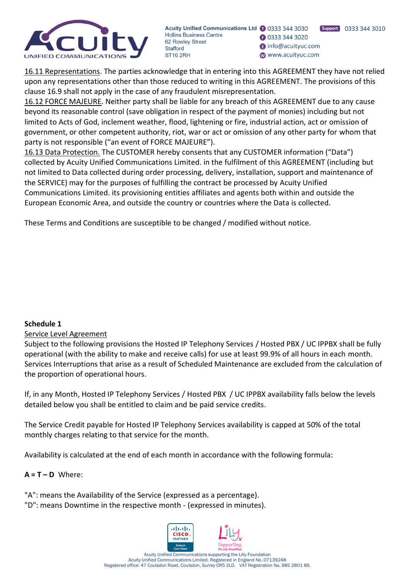

Support 0333 344 3010 **B** 0333 344 3020 nfo@acuityuc.com www.acuityuc.com

16.11 Representations. The parties acknowledge that in entering into this AGREEMENT they have not relied upon any representations other than those reduced to writing in this AGREEMENT. The provisions of this clause 16.9 shall not apply in the case of any fraudulent misrepresentation.

16.12 FORCE MAJEURE. Neither party shall be liable for any breach of this AGREEMENT due to any cause beyond its reasonable control (save obligation in respect of the payment of monies) including but not limited to Acts of God, inclement weather, flood, lightening or fire, industrial action, act or omission of government, or other competent authority, riot, war or act or omission of any other party for whom that party is not responsible ("an event of FORCE MAJEURE").

16.13 Data Protection. The CUSTOMER hereby consents that any CUSTOMER information ("Data") collected by Acuity Unified Communications Limited. in the fulfilment of this AGREEMENT (including but not limited to Data collected during order processing, delivery, installation, support and maintenance of the SERVICE) may for the purposes of fulfilling the contract be processed by Acuity Unified Communications Limited. its provisioning entities affiliates and agents both within and outside the European Economic Area, and outside the country or countries where the Data is collected.

These Terms and Conditions are susceptible to be changed / modified without notice.

# **Schedule 1**

# Service Level Agreement

Subject to the following provisions the Hosted IP Telephony Services / Hosted PBX / UC IPPBX shall be fully operational (with the ability to make and receive calls) for use at least 99.9% of all hours in each month. Services Interruptions that arise as a result of Scheduled Maintenance are excluded from the calculation of the proportion of operational hours.

If, in any Month, Hosted IP Telephony Services / Hosted PBX / UC IPPBX availability falls below the levels detailed below you shall be entitled to claim and be paid service credits.

The Service Credit payable for Hosted IP Telephony Services availability is capped at 50% of the total monthly charges relating to that service for the month.

Availability is calculated at the end of each month in accordance with the following formula:

### $A = T - D$  Where:

"A": means the Availability of the Service (expressed as a percentage).

"D": means Downtime in the respective month - (expressed in minutes).

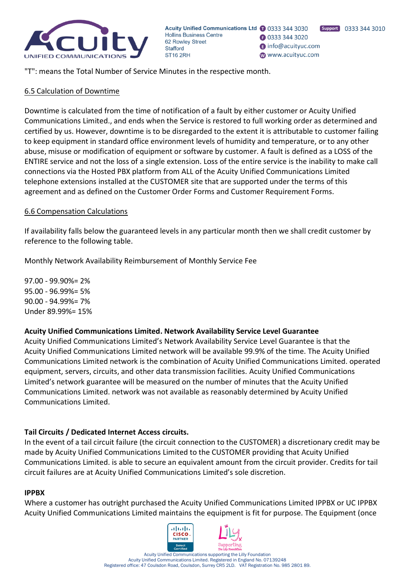

**3** 0333 344 3020 nfo@acuityuc.com www.acuityuc.com

"T": means the Total Number of Service Minutes in the respective month.

### 6.5 Calculation of Downtime

Downtime is calculated from the time of notification of a fault by either customer or Acuity Unified Communications Limited., and ends when the Service is restored to full working order as determined and certified by us. However, downtime is to be disregarded to the extent it is attributable to customer failing to keep equipment in standard office environment levels of humidity and temperature, or to any other abuse, misuse or modification of equipment or software by customer. A fault is defined as a LOSS of the ENTIRE service and not the loss of a single extension. Loss of the entire service is the inability to make call connections via the Hosted PBX platform from ALL of the Acuity Unified Communications Limited telephone extensions installed at the CUSTOMER site that are supported under the terms of this agreement and as defined on the Customer Order Forms and Customer Requirement Forms.

### 6.6 Compensation Calculations

If availability falls below the guaranteed levels in any particular month then we shall credit customer by reference to the following table.

Monthly Network Availability Reimbursement of Monthly Service Fee

97.00 - 99.90%= 2% 95.00 - 96.99%= 5% 90.00 - 94.99%= 7% Under 89.99%= 15%

### **Acuity Unified Communications Limited. Network Availability Service Level Guarantee**

Acuity Unified Communications Limited's Network Availability Service Level Guarantee is that the Acuity Unified Communications Limited network will be available 99.9% of the time. The Acuity Unified Communications Limited network is the combination of Acuity Unified Communications Limited. operated equipment, servers, circuits, and other data transmission facilities. Acuity Unified Communications Limited's network guarantee will be measured on the number of minutes that the Acuity Unified Communications Limited. network was not available as reasonably determined by Acuity Unified Communications Limited.

# **Tail Circuits / Dedicated Internet Access circuits.**

In the event of a tail circuit failure (the circuit connection to the CUSTOMER) a discretionary credit may be made by Acuity Unified Communications Limited to the CUSTOMER providing that Acuity Unified Communications Limited. is able to secure an equivalent amount from the circuit provider. Credits for tail circuit failures are at Acuity Unified Communications Limited's sole discretion.

#### **IPPBX**

Where a customer has outright purchased the Acuity Unified Communications Limited IPPBX or UC IPPBX Acuity Unified Communications Limited maintains the equipment is fit for purpose. The Equipment (once

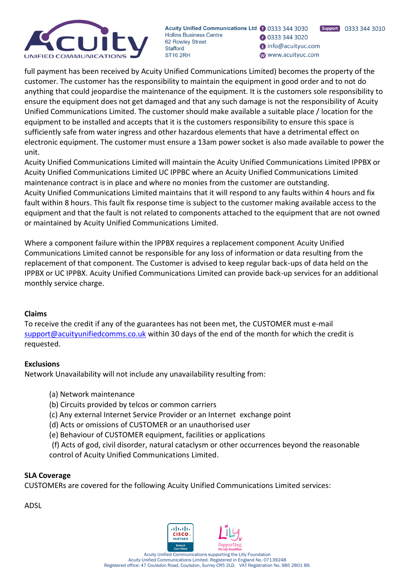

Support 0333 344 3010 **B** 0333 344 3020 nfo@acuityuc.com www.acuityuc.com

full payment has been received by Acuity Unified Communications Limited) becomes the property of the customer. The customer has the responsibility to maintain the equipment in good order and to not do anything that could jeopardise the maintenance of the equipment. It is the customers sole responsibility to ensure the equipment does not get damaged and that any such damage is not the responsibility of Acuity Unified Communications Limited. The customer should make available a suitable place / location for the equipment to be installed and accepts that it is the customers responsibility to ensure this space is sufficiently safe from water ingress and other hazardous elements that have a detrimental effect on electronic equipment. The customer must ensure a 13am power socket is also made available to power the unit.

Acuity Unified Communications Limited will maintain the Acuity Unified Communications Limited IPPBX or Acuity Unified Communications Limited UC IPPBC where an Acuity Unified Communications Limited maintenance contract is in place and where no monies from the customer are outstanding. Acuity Unified Communications Limited maintains that it will respond to any faults within 4 hours and fix fault within 8 hours. This fault fix response time is subject to the customer making available access to the equipment and that the fault is not related to components attached to the equipment that are not owned or maintained by Acuity Unified Communications Limited.

Where a component failure within the IPPBX requires a replacement component Acuity Unified Communications Limited cannot be responsible for any loss of information or data resulting from the replacement of that component. The Customer is advised to keep regular back-ups of data held on the IPPBX or UC IPPBX. Acuity Unified Communications Limited can provide back-up services for an additional monthly service charge.

# **Claims**

To receive the credit if any of the guarantees has not been met, the CUSTOMER must e-mail [support@acuityunifiedcomms.co.uk](mailto:support@acuityunifiedcomms.co.uk) within 30 days of the end of the month for which the credit is requested.

### **Exclusions**

Network Unavailability will not include any unavailability resulting from:

- (a) Network maintenance
- (b) Circuits provided by telcos or common carriers
- (c) Any external Internet Service Provider or an Internet exchange point
- (d) Acts or omissions of CUSTOMER or an unauthorised user
- (e) Behaviour of CUSTOMER equipment, facilities or applications

(f) Acts of god, civil disorder, natural cataclysm or other occurrences beyond the reasonable control of Acuity Unified Communications Limited.

### **SLA Coverage**

CUSTOMERs are covered for the following Acuity Unified Communications Limited services:

ADSL

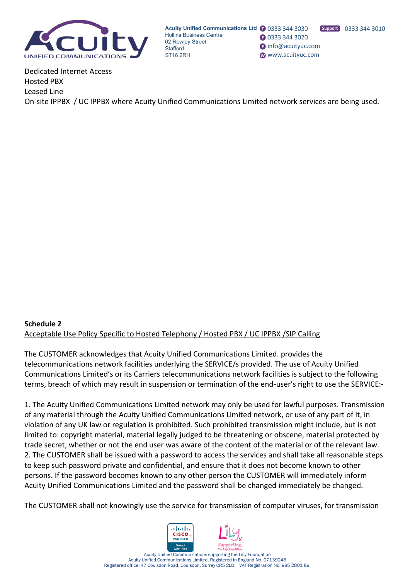

Acuity Unified Communications Ltd 1 0333 344 3030 **Hollins Business Centre B** 0333 344 3020 62 Rowley Street nfo@acuityuc.com **Stafford** www.acuityuc.com ST<sub>16</sub> 2RH

Dedicated Internet Access Hosted PBX Leased Line On-site IPPBX / UC IPPBX where Acuity Unified Communications Limited network services are being used.

# **Schedule 2** Acceptable Use Policy Specific to Hosted Telephony / Hosted PBX / UC IPPBX /SIP Calling

The CUSTOMER acknowledges that Acuity Unified Communications Limited. provides the telecommunications network facilities underlying the SERVICE/s provided. The use of Acuity Unified Communications Limited's or its Carriers telecommunications network facilities is subject to the following terms, breach of which may result in suspension or termination of the end-user's right to use the SERVICE:-

1. The Acuity Unified Communications Limited network may only be used for lawful purposes. Transmission of any material through the Acuity Unified Communications Limited network, or use of any part of it, in violation of any UK law or regulation is prohibited. Such prohibited transmission might include, but is not limited to: copyright material, material legally judged to be threatening or obscene, material protected by trade secret, whether or not the end user was aware of the content of the material or of the relevant law. 2. The CUSTOMER shall be issued with a password to access the services and shall take all reasonable steps to keep such password private and confidential, and ensure that it does not become known to other persons. If the password becomes known to any other person the CUSTOMER will immediately inform Acuity Unified Communications Limited and the password shall be changed immediately be changed.

The CUSTOMER shall not knowingly use the service for transmission of computer viruses, for transmission

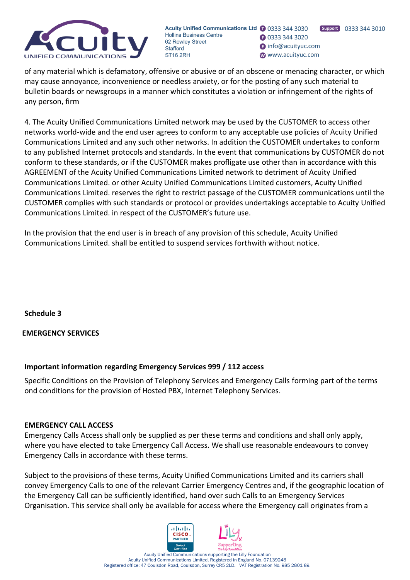

Support 0333 344 3010 **B** 0333 344 3020 nfo@acuityuc.com www.acuityuc.com

of any material which is defamatory, offensive or abusive or of an obscene or menacing character, or which may cause annoyance, inconvenience or needless anxiety, or for the posting of any such material to bulletin boards or newsgroups in a manner which constitutes a violation or infringement of the rights of any person, firm

4. The Acuity Unified Communications Limited network may be used by the CUSTOMER to access other networks world-wide and the end user agrees to conform to any acceptable use policies of Acuity Unified Communications Limited and any such other networks. In addition the CUSTOMER undertakes to conform to any published Internet protocols and standards. In the event that communications by CUSTOMER do not conform to these standards, or if the CUSTOMER makes profligate use other than in accordance with this AGREEMENT of the Acuity Unified Communications Limited network to detriment of Acuity Unified Communications Limited. or other Acuity Unified Communications Limited customers, Acuity Unified Communications Limited. reserves the right to restrict passage of the CUSTOMER communications until the CUSTOMER complies with such standards or protocol or provides undertakings acceptable to Acuity Unified Communications Limited. in respect of the CUSTOMER's future use.

In the provision that the end user is in breach of any provision of this schedule, Acuity Unified Communications Limited. shall be entitled to suspend services forthwith without notice.

**Schedule 3**

# **EMERGENCY SERVICES**

# **Important information regarding Emergency Services 999 / 112 access**

Specific Conditions on the Provision of Telephony Services and Emergency Calls forming part of the terms ond conditions for the provision of Hosted PBX, Internet Telephony Services.

### **EMERGENCY CALL ACCESS**

Emergency Calls Access shall only be supplied as per these terms and conditions and shall only apply, where you have elected to take Emergency Call Access. We shall use reasonable endeavours to convey Emergency Calls in accordance with these terms.

Subject to the provisions of these terms, Acuity Unified Communications Limited and its carriers shall convey Emergency Calls to one of the relevant Carrier Emergency Centres and, if the geographic location of the Emergency Call can be sufficiently identified, hand over such Calls to an Emergency Services Organisation. This service shall only be available for access where the Emergency call originates from a

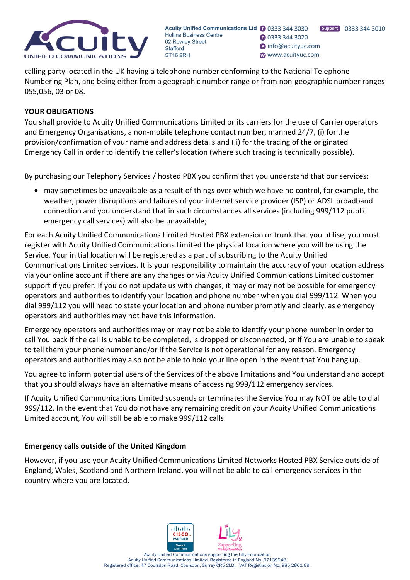

Support 0333 344 3010 **B** 0333 344 3020 nfo@acuityuc.com www.acuityuc.com

calling party located in the UK having a telephone number conforming to the National Telephone Numbering Plan, and being either from a geographic number range or from non-geographic number ranges 055,056, 03 or 08.

### **YOUR OBLIGATIONS**

You shall provide to Acuity Unified Communications Limited or its carriers for the use of Carrier operators and Emergency Organisations, a non-mobile telephone contact number, manned 24/7, (i) for the provision/confirmation of your name and address details and (ii) for the tracing of the originated Emergency Call in order to identify the caller's location (where such tracing is technically possible).

By purchasing our Telephony Services / hosted PBX you confirm that you understand that our services:

• may sometimes be unavailable as a result of things over which we have no control, for example, the weather, power disruptions and failures of your internet service provider (ISP) or ADSL broadband connection and you understand that in such circumstances all services (including 999/112 public emergency call services) will also be unavailable;

For each Acuity Unified Communications Limited Hosted PBX extension or trunk that you utilise, you must register with Acuity Unified Communications Limited the physical location where you will be using the Service. Your initial location will be registered as a part of subscribing to the Acuity Unified Communications Limited services. It is your responsibility to maintain the accuracy of your location address via your online account if there are any changes or via Acuity Unified Communications Limited customer support if you prefer. If you do not update us with changes, it may or may not be possible for emergency operators and authorities to identify your location and phone number when you dial 999/112. When you dial 999/112 you will need to state your location and phone number promptly and clearly, as emergency operators and authorities may not have this information.

Emergency operators and authorities may or may not be able to identify your phone number in order to call You back if the call is unable to be completed, is dropped or disconnected, or if You are unable to speak to tell them your phone number and/or if the Service is not operational for any reason. Emergency operators and authorities may also not be able to hold your line open in the event that You hang up.

You agree to inform potential users of the Services of the above limitations and You understand and accept that you should always have an alternative means of accessing 999/112 emergency services.

If Acuity Unified Communications Limited suspends or terminates the Service You may NOT be able to dial 999/112. In the event that You do not have any remaining credit on your Acuity Unified Communications Limited account, You will still be able to make 999/112 calls.

# **Emergency calls outside of the United Kingdom**

However, if you use your Acuity Unified Communications Limited Networks Hosted PBX Service outside of England, Wales, Scotland and Northern Ireland, you will not be able to call emergency services in the country where you are located.

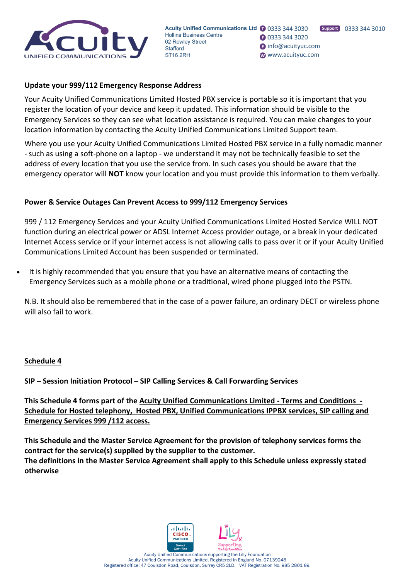

**B** 0333 344 3020 nfo@acuityuc.com www.acuityuc.com

### **Update your 999/112 Emergency Response Address**

Your Acuity Unified Communications Limited Hosted PBX service is portable so it is important that you register the location of your device and keep it updated. This information should be visible to the Emergency Services so they can see what location assistance is required. You can make changes to your location information by contacting the Acuity Unified Communications Limited Support team.

Where you use your Acuity Unified Communications Limited Hosted PBX service in a fully nomadic manner - such as using a soft-phone on a laptop - we understand it may not be technically feasible to set the address of every location that you use the service from. In such cases you should be aware that the emergency operator will **NOT** know your location and you must provide this information to them verbally.

### **Power & Service Outages Can Prevent Access to 999/112 Emergency Services**

999 / 112 Emergency Services and your Acuity Unified Communications Limited Hosted Service WILL NOT function during an electrical power or ADSL Internet Access provider outage, or a break in your dedicated Internet Access service or if your internet access is not allowing calls to pass over it or if your Acuity Unified Communications Limited Account has been suspended or terminated.

• It is highly recommended that you ensure that you have an alternative means of contacting the Emergency Services such as a mobile phone or a traditional, wired phone plugged into the PSTN.

N.B. It should also be remembered that in the case of a power failure, an ordinary DECT or wireless phone will also fail to work.

### **Schedule 4**

### **SIP – Session Initiation Protocol – SIP Calling Services & Call Forwarding Services**

**This Schedule 4 forms part of the Acuity Unified Communications Limited - Terms and Conditions - Schedule for Hosted telephony, Hosted PBX, Unified Communications IPPBX services, SIP calling and Emergency Services 999 /112 access.**

**This Schedule and the Master Service Agreement for the provision of telephony services forms the contract for the service(s) supplied by the supplier to the customer. The definitions in the Master Service Agreement shall apply to this Schedule unless expressly stated otherwise**

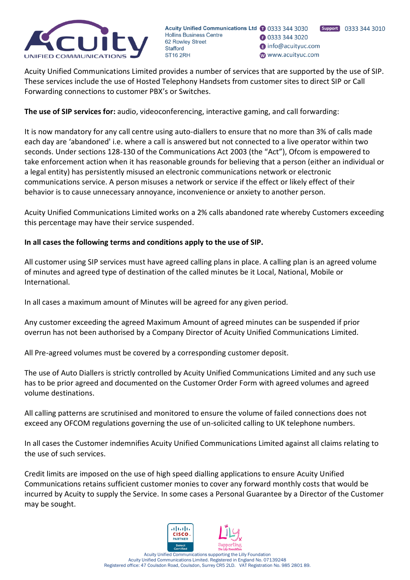

Support 0333 344 3010 **B** 0333 344 3020 nfo@acuityuc.com www.acuityuc.com

Acuity Unified Communications Limited provides a number of services that are supported by the use of SIP. These services include the use of Hosted Telephony Handsets from customer sites to direct SIP or Call Forwarding connections to customer PBX's or Switches.

**The use of SIP services for:** audio, videoconferencing, interactive gaming, and call forwarding:

It is now mandatory for any call centre using auto-diallers to ensure that no more than 3% of calls made each day are 'abandoned' i.e. where a call is answered but not connected to a live operator within two seconds. Under sections 128-130 of the Communications Act 2003 (the "Act"), Ofcom is empowered to take enforcement action when it has reasonable grounds for believing that a person (either an individual or a legal entity) has persistently misused an electronic communications network or electronic communications service. A person misuses a network or service if the effect or likely effect of their behavior is to cause unnecessary annoyance, inconvenience or anxiety to another person.

Acuity Unified Communications Limited works on a 2% calls abandoned rate whereby Customers exceeding this percentage may have their service suspended.

# **In all cases the following terms and conditions apply to the use of SIP.**

All customer using SIP services must have agreed calling plans in place. A calling plan is an agreed volume of minutes and agreed type of destination of the called minutes be it Local, National, Mobile or International.

In all cases a maximum amount of Minutes will be agreed for any given period.

Any customer exceeding the agreed Maximum Amount of agreed minutes can be suspended if prior overrun has not been authorised by a Company Director of Acuity Unified Communications Limited.

All Pre-agreed volumes must be covered by a corresponding customer deposit.

The use of Auto Diallers is strictly controlled by Acuity Unified Communications Limited and any such use has to be prior agreed and documented on the Customer Order Form with agreed volumes and agreed volume destinations.

All calling patterns are scrutinised and monitored to ensure the volume of failed connections does not exceed any OFCOM regulations governing the use of un-solicited calling to UK telephone numbers.

In all cases the Customer indemnifies Acuity Unified Communications Limited against all claims relating to the use of such services.

Credit limits are imposed on the use of high speed dialling applications to ensure Acuity Unified Communications retains sufficient customer monies to cover any forward monthly costs that would be incurred by Acuity to supply the Service. In some cases a Personal Guarantee by a Director of the Customer may be sought.

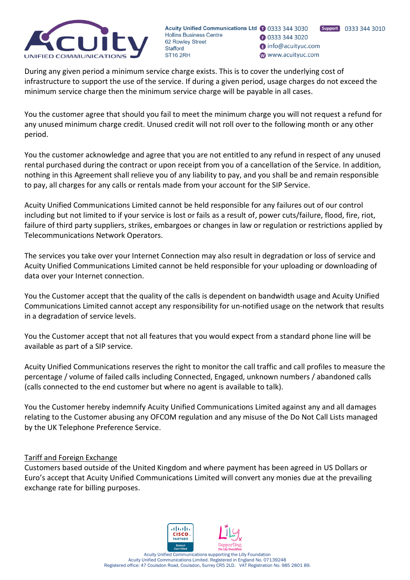

Support 0333 344 3010 **3** 0333 344 3020 nfo@acuityuc.com www.acuityuc.com

During any given period a minimum service charge exists. This is to cover the underlying cost of infrastructure to support the use of the service. If during a given period, usage charges do not exceed the minimum service charge then the minimum service charge will be payable in all cases.

You the customer agree that should you fail to meet the minimum charge you will not request a refund for any unused minimum charge credit. Unused credit will not roll over to the following month or any other period.

You the customer acknowledge and agree that you are not entitled to any refund in respect of any unused rental purchased during the contract or upon receipt from you of a cancellation of the Service. In addition, nothing in this Agreement shall relieve you of any liability to pay, and you shall be and remain responsible to pay, all charges for any calls or rentals made from your account for the SIP Service.

Acuity Unified Communications Limited cannot be held responsible for any failures out of our control including but not limited to if your service is lost or fails as a result of, power cuts/failure, flood, fire, riot, failure of third party suppliers, strikes, embargoes or changes in law or regulation or restrictions applied by Telecommunications Network Operators.

The services you take over your Internet Connection may also result in degradation or loss of service and Acuity Unified Communications Limited cannot be held responsible for your uploading or downloading of data over your Internet connection.

You the Customer accept that the quality of the calls is dependent on bandwidth usage and Acuity Unified Communications Limited cannot accept any responsibility for un-notified usage on the network that results in a degradation of service levels.

You the Customer accept that not all features that you would expect from a standard phone line will be available as part of a SIP service.

Acuity Unified Communications reserves the right to monitor the call traffic and call profiles to measure the percentage / volume of failed calls including Connected, Engaged, unknown numbers / abandoned calls (calls connected to the end customer but where no agent is available to talk).

You the Customer hereby indemnify Acuity Unified Communications Limited against any and all damages relating to the Customer abusing any OFCOM regulation and any misuse of the Do Not Call Lists managed by the UK Telephone Preference Service.

# Tariff and Foreign Exchange

Customers based outside of the United Kingdom and where payment has been agreed in US Dollars or Euro's accept that Acuity Unified Communications Limited will convert any monies due at the prevailing exchange rate for billing purposes.